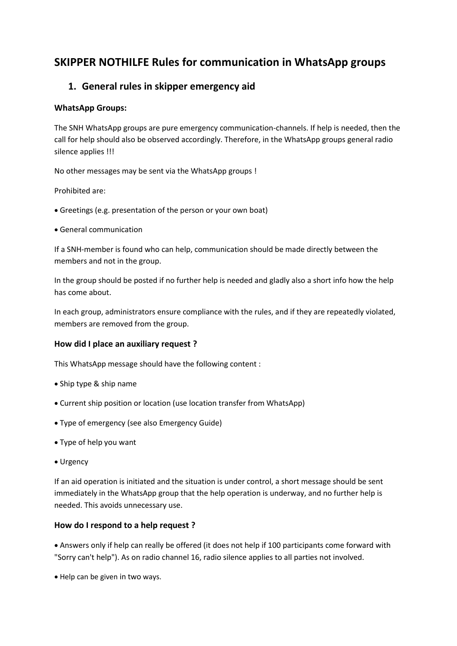# **SKIPPER NOTHILFE Rules for communication in WhatsApp groups**

### **1. General rules in skipper emergency aid**

### **WhatsApp Groups:**

The SNH WhatsApp groups are pure emergency communication-channels. If help is needed, then the call for help should also be observed accordingly. Therefore, in the WhatsApp groups general radio silence applies !!!

No other messages may be sent via the WhatsApp groups !

Prohibited are:

- Greetings (e.g. presentation of the person or your own boat)
- General communication

If a SNH-member is found who can help, communication should be made directly between the members and not in the group.

In the group should be posted if no further help is needed and gladly also a short info how the help has come about.

In each group, administrators ensure compliance with the rules, and if they are repeatedly violated, members are removed from the group.

#### **How did I place an auxiliary request ?**

This WhatsApp message should have the following content :

- Ship type & ship name
- Current ship position or location (use location transfer from WhatsApp)
- Type of emergency (see also Emergency Guide)
- Type of help you want
- Urgency

If an aid operation is initiated and the situation is under control, a short message should be sent immediately in the WhatsApp group that the help operation is underway, and no further help is needed. This avoids unnecessary use.

#### **How do I respond to a help request ?**

 Answers only if help can really be offered (it does not help if 100 participants come forward with "Sorry can't help"). As on radio channel 16, radio silence applies to all parties not involved.

Help can be given in two ways.